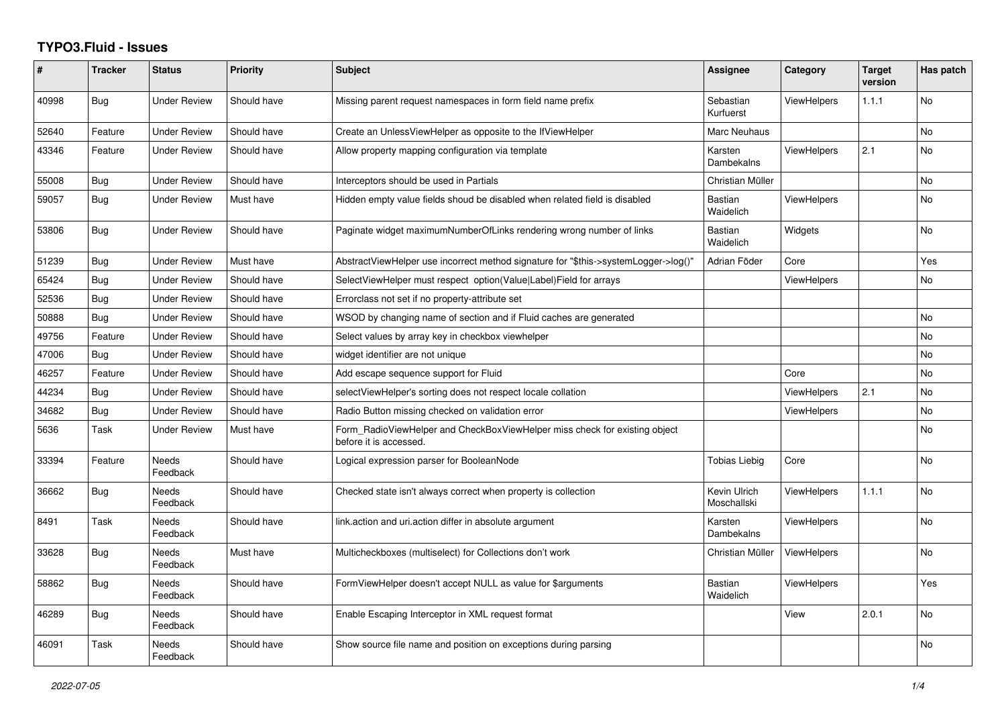## **TYPO3.Fluid - Issues**

| #     | <b>Tracker</b> | <b>Status</b>            | <b>Priority</b> | <b>Subject</b>                                                                                       | Assignee                    | Category           | <b>Target</b><br>version | Has patch      |
|-------|----------------|--------------------------|-----------------|------------------------------------------------------------------------------------------------------|-----------------------------|--------------------|--------------------------|----------------|
| 40998 | Bug            | <b>Under Review</b>      | Should have     | Missing parent request namespaces in form field name prefix                                          | Sebastian<br>Kurfuerst      | <b>ViewHelpers</b> | 1.1.1                    | No             |
| 52640 | Feature        | <b>Under Review</b>      | Should have     | Create an UnlessViewHelper as opposite to the IfViewHelper                                           | Marc Neuhaus                |                    |                          | <b>No</b>      |
| 43346 | Feature        | <b>Under Review</b>      | Should have     | Allow property mapping configuration via template                                                    | Karsten<br>Dambekalns       | <b>ViewHelpers</b> | 2.1                      | <b>No</b>      |
| 55008 | <b>Bug</b>     | <b>Under Review</b>      | Should have     | Interceptors should be used in Partials                                                              | Christian Müller            |                    |                          | <b>No</b>      |
| 59057 | Bug            | Under Review             | Must have       | Hidden empty value fields shoud be disabled when related field is disabled                           | <b>Bastian</b><br>Waidelich | <b>ViewHelpers</b> |                          | <b>No</b>      |
| 53806 | <b>Bug</b>     | <b>Under Review</b>      | Should have     | Paginate widget maximumNumberOfLinks rendering wrong number of links                                 | <b>Bastian</b><br>Waidelich | Widgets            |                          | <b>No</b>      |
| 51239 | Bug            | Under Review             | Must have       | AbstractViewHelper use incorrect method signature for "\$this->systemLogger->log()"                  | Adrian Föder                | Core               |                          | Yes            |
| 65424 | Bug            | Under Review             | Should have     | SelectViewHelper must respect option(Value Label)Field for arrays                                    |                             | <b>ViewHelpers</b> |                          | <b>No</b>      |
| 52536 | <b>Bug</b>     | <b>Under Review</b>      | Should have     | Errorclass not set if no property-attribute set                                                      |                             |                    |                          |                |
| 50888 | <b>Bug</b>     | <b>Under Review</b>      | Should have     | WSOD by changing name of section and if Fluid caches are generated                                   |                             |                    |                          | No             |
| 49756 | Feature        | <b>Under Review</b>      | Should have     | Select values by array key in checkbox viewhelper                                                    |                             |                    |                          | No             |
| 47006 | Bug            | <b>Under Review</b>      | Should have     | widget identifier are not unique                                                                     |                             |                    |                          | <b>No</b>      |
| 46257 | Feature        | <b>Under Review</b>      | Should have     | Add escape sequence support for Fluid                                                                |                             | Core               |                          | No             |
| 44234 | Bug            | <b>Under Review</b>      | Should have     | selectViewHelper's sorting does not respect locale collation                                         |                             | <b>ViewHelpers</b> | 2.1                      | <b>No</b>      |
| 34682 | Bug            | <b>Under Review</b>      | Should have     | Radio Button missing checked on validation error                                                     |                             | ViewHelpers        |                          | <b>No</b>      |
| 5636  | Task           | <b>Under Review</b>      | Must have       | Form RadioViewHelper and CheckBoxViewHelper miss check for existing object<br>before it is accessed. |                             |                    |                          | No             |
| 33394 | Feature        | <b>Needs</b><br>Feedback | Should have     | Logical expression parser for BooleanNode                                                            | Tobias Liebig               | Core               |                          | <b>No</b>      |
| 36662 | <b>Bug</b>     | Needs<br>Feedback        | Should have     | Checked state isn't always correct when property is collection                                       | Kevin Ulrich<br>Moschallski | <b>ViewHelpers</b> | 1.1.1                    | <b>No</b>      |
| 8491  | Task           | Needs<br>Feedback        | Should have     | link.action and uri.action differ in absolute argument                                               | Karsten<br>Dambekalns       | <b>ViewHelpers</b> |                          | N <sub>o</sub> |
| 33628 | Bug            | Needs<br>Feedback        | Must have       | Multicheckboxes (multiselect) for Collections don't work                                             | Christian Müller            | <b>ViewHelpers</b> |                          | <b>No</b>      |
| 58862 | <b>Bug</b>     | Needs<br>Feedback        | Should have     | FormViewHelper doesn't accept NULL as value for \$arguments                                          | <b>Bastian</b><br>Waidelich | <b>ViewHelpers</b> |                          | Yes            |
| 46289 | <b>Bug</b>     | <b>Needs</b><br>Feedback | Should have     | Enable Escaping Interceptor in XML request format                                                    |                             | View               | 2.0.1                    | N <sub>o</sub> |
| 46091 | Task           | Needs<br>Feedback        | Should have     | Show source file name and position on exceptions during parsing                                      |                             |                    |                          | <b>No</b>      |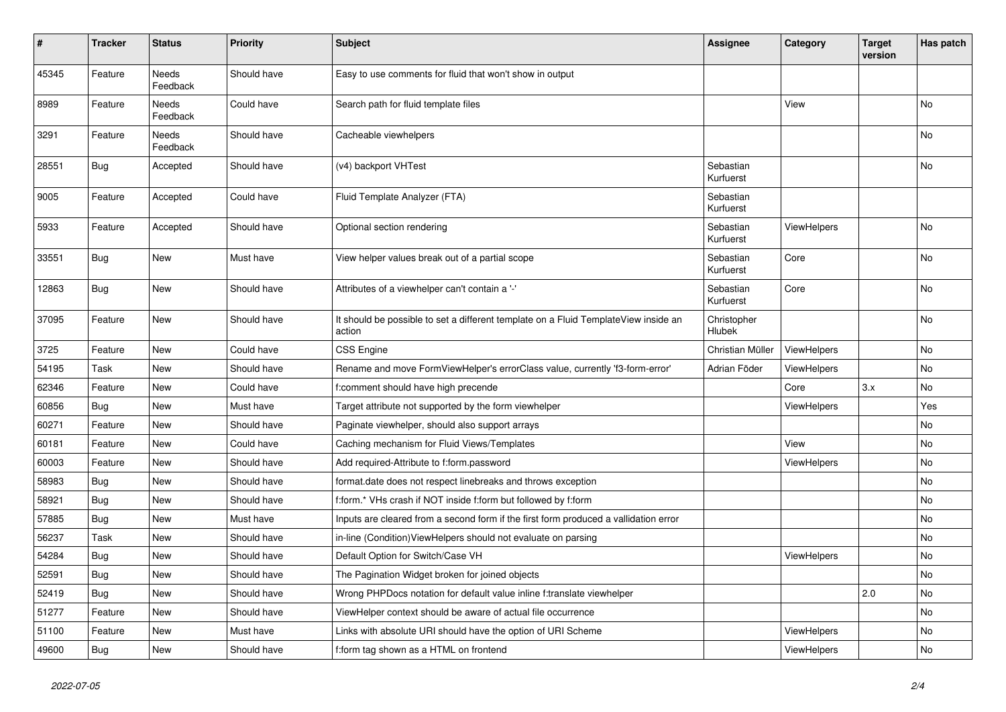| $\sharp$ | <b>Tracker</b> | <b>Status</b>     | <b>Priority</b> | <b>Subject</b>                                                                                | <b>Assignee</b>        | Category           | <b>Target</b><br>version | Has patch |
|----------|----------------|-------------------|-----------------|-----------------------------------------------------------------------------------------------|------------------------|--------------------|--------------------------|-----------|
| 45345    | Feature        | Needs<br>Feedback | Should have     | Easy to use comments for fluid that won't show in output                                      |                        |                    |                          |           |
| 8989     | Feature        | Needs<br>Feedback | Could have      | Search path for fluid template files                                                          |                        | View               |                          | No        |
| 3291     | Feature        | Needs<br>Feedback | Should have     | Cacheable viewhelpers                                                                         |                        |                    |                          | <b>No</b> |
| 28551    | Bug            | Accepted          | Should have     | (v4) backport VHTest                                                                          | Sebastian<br>Kurfuerst |                    |                          | No        |
| 9005     | Feature        | Accepted          | Could have      | Fluid Template Analyzer (FTA)                                                                 | Sebastian<br>Kurfuerst |                    |                          |           |
| 5933     | Feature        | Accepted          | Should have     | Optional section rendering                                                                    | Sebastian<br>Kurfuerst | <b>ViewHelpers</b> |                          | <b>No</b> |
| 33551    | <b>Bug</b>     | <b>New</b>        | Must have       | View helper values break out of a partial scope                                               | Sebastian<br>Kurfuerst | Core               |                          | <b>No</b> |
| 12863    | <b>Bug</b>     | New               | Should have     | Attributes of a viewhelper can't contain a '-'                                                | Sebastian<br>Kurfuerst | Core               |                          | No        |
| 37095    | Feature        | New               | Should have     | It should be possible to set a different template on a Fluid TemplateView inside an<br>action | Christopher<br>Hlubek  |                    |                          | <b>No</b> |
| 3725     | Feature        | New               | Could have      | <b>CSS Engine</b>                                                                             | Christian Müller       | ViewHelpers        |                          | No        |
| 54195    | Task           | New               | Should have     | Rename and move FormViewHelper's errorClass value, currently 'f3-form-error'                  | Adrian Föder           | ViewHelpers        |                          | <b>No</b> |
| 62346    | Feature        | New               | Could have      | f:comment should have high precende                                                           |                        | Core               | 3.x                      | No        |
| 60856    | <b>Bug</b>     | New               | Must have       | Target attribute not supported by the form viewhelper                                         |                        | <b>ViewHelpers</b> |                          | Yes       |
| 60271    | Feature        | <b>New</b>        | Should have     | Paginate viewhelper, should also support arrays                                               |                        |                    |                          | <b>No</b> |
| 60181    | Feature        | New               | Could have      | Caching mechanism for Fluid Views/Templates                                                   |                        | View               |                          | <b>No</b> |
| 60003    | Feature        | <b>New</b>        | Should have     | Add required-Attribute to f:form.password                                                     |                        | ViewHelpers        |                          | <b>No</b> |
| 58983    | <b>Bug</b>     | New               | Should have     | format.date does not respect linebreaks and throws exception                                  |                        |                    |                          | <b>No</b> |
| 58921    | <b>Bug</b>     | New               | Should have     | f:form.* VHs crash if NOT inside f:form but followed by f:form                                |                        |                    |                          | <b>No</b> |
| 57885    | Bug            | New               | Must have       | Inputs are cleared from a second form if the first form produced a vallidation error          |                        |                    |                          | No        |
| 56237    | Task           | New               | Should have     | in-line (Condition) View Helpers should not evaluate on parsing                               |                        |                    |                          | No        |
| 54284    | <b>Bug</b>     | New               | Should have     | Default Option for Switch/Case VH                                                             |                        | ViewHelpers        |                          | No        |
| 52591    | <b>Bug</b>     | <b>New</b>        | Should have     | The Pagination Widget broken for joined objects                                               |                        |                    |                          | <b>No</b> |
| 52419    | Bug            | New               | Should have     | Wrong PHPDocs notation for default value inline f:translate viewhelper                        |                        |                    | 2.0                      | <b>No</b> |
| 51277    | Feature        | <b>New</b>        | Should have     | ViewHelper context should be aware of actual file occurrence                                  |                        |                    |                          | <b>No</b> |
| 51100    | Feature        | New               | Must have       | Links with absolute URI should have the option of URI Scheme                                  |                        | ViewHelpers        |                          | <b>No</b> |
| 49600    | <b>Bug</b>     | New               | Should have     | f:form tag shown as a HTML on frontend                                                        |                        | ViewHelpers        |                          | No        |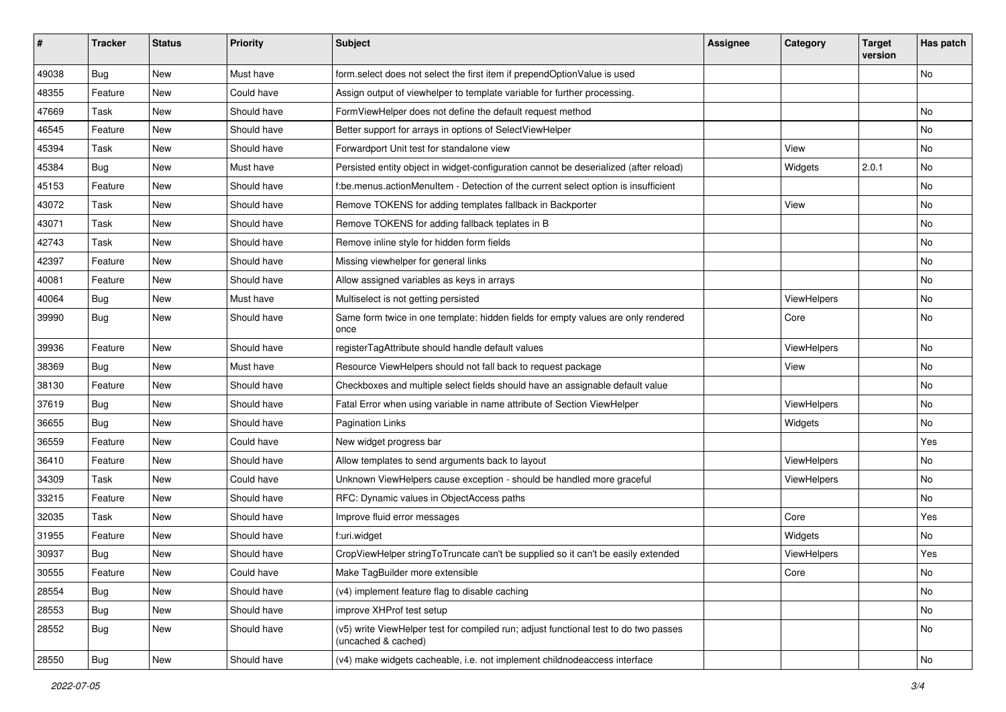| #     | <b>Tracker</b> | <b>Status</b> | Priority    | Subject                                                                                                     | <b>Assignee</b> | Category    | <b>Target</b><br>version | Has patch |
|-------|----------------|---------------|-------------|-------------------------------------------------------------------------------------------------------------|-----------------|-------------|--------------------------|-----------|
| 49038 | Bug            | New           | Must have   | form.select does not select the first item if prependOptionValue is used                                    |                 |             |                          | <b>No</b> |
| 48355 | Feature        | New           | Could have  | Assign output of viewhelper to template variable for further processing.                                    |                 |             |                          |           |
| 47669 | Task           | New           | Should have | FormViewHelper does not define the default request method                                                   |                 |             |                          | No        |
| 46545 | Feature        | New           | Should have | Better support for arrays in options of SelectViewHelper                                                    |                 |             |                          | No        |
| 45394 | Task           | New           | Should have | Forwardport Unit test for standalone view                                                                   |                 | View        |                          | No        |
| 45384 | Bug            | New           | Must have   | Persisted entity object in widget-configuration cannot be deserialized (after reload)                       |                 | Widgets     | 2.0.1                    | No        |
| 45153 | Feature        | New           | Should have | f:be.menus.actionMenuItem - Detection of the current select option is insufficient                          |                 |             |                          | No        |
| 43072 | Task           | New           | Should have | Remove TOKENS for adding templates fallback in Backporter                                                   |                 | View        |                          | No        |
| 43071 | Task           | New           | Should have | Remove TOKENS for adding fallback teplates in B                                                             |                 |             |                          | No        |
| 42743 | Task           | New           | Should have | Remove inline style for hidden form fields                                                                  |                 |             |                          | No        |
| 42397 | Feature        | New           | Should have | Missing viewhelper for general links                                                                        |                 |             |                          | <b>No</b> |
| 40081 | Feature        | New           | Should have | Allow assigned variables as keys in arrays                                                                  |                 |             |                          | No        |
| 40064 | Bug            | New           | Must have   | Multiselect is not getting persisted                                                                        |                 | ViewHelpers |                          | No        |
| 39990 | Bug            | New           | Should have | Same form twice in one template: hidden fields for empty values are only rendered<br>once                   |                 | Core        |                          | No        |
| 39936 | Feature        | New           | Should have | registerTagAttribute should handle default values                                                           |                 | ViewHelpers |                          | No        |
| 38369 | Bug            | New           | Must have   | Resource ViewHelpers should not fall back to request package                                                |                 | View        |                          | No        |
| 38130 | Feature        | New           | Should have | Checkboxes and multiple select fields should have an assignable default value                               |                 |             |                          | No        |
| 37619 | Bug            | <b>New</b>    | Should have | Fatal Error when using variable in name attribute of Section ViewHelper                                     |                 | ViewHelpers |                          | <b>No</b> |
| 36655 | Bug            | New           | Should have | <b>Pagination Links</b>                                                                                     |                 | Widgets     |                          | No        |
| 36559 | Feature        | New           | Could have  | New widget progress bar                                                                                     |                 |             |                          | Yes       |
| 36410 | Feature        | New           | Should have | Allow templates to send arguments back to layout                                                            |                 | ViewHelpers |                          | <b>No</b> |
| 34309 | Task           | New           | Could have  | Unknown ViewHelpers cause exception - should be handled more graceful                                       |                 | ViewHelpers |                          | No        |
| 33215 | Feature        | New           | Should have | RFC: Dynamic values in ObjectAccess paths                                                                   |                 |             |                          | <b>No</b> |
| 32035 | Task           | New           | Should have | Improve fluid error messages                                                                                |                 | Core        |                          | Yes       |
| 31955 | Feature        | New           | Should have | f:uri.widget                                                                                                |                 | Widgets     |                          | No        |
| 30937 | Bug            | New           | Should have | CropViewHelper stringToTruncate can't be supplied so it can't be easily extended                            |                 | ViewHelpers |                          | Yes       |
| 30555 | Feature        | New           | Could have  | Make TagBuilder more extensible                                                                             |                 | Core        |                          | No        |
| 28554 | Bug            | New           | Should have | (v4) implement feature flag to disable caching                                                              |                 |             |                          | No        |
| 28553 | Bug            | New           | Should have | improve XHProf test setup                                                                                   |                 |             |                          | No        |
| 28552 | Bug            | New           | Should have | (v5) write ViewHelper test for compiled run; adjust functional test to do two passes<br>(uncached & cached) |                 |             |                          | No        |
| 28550 | Bug            | New           | Should have | (v4) make widgets cacheable, i.e. not implement childnodeaccess interface                                   |                 |             |                          | No        |